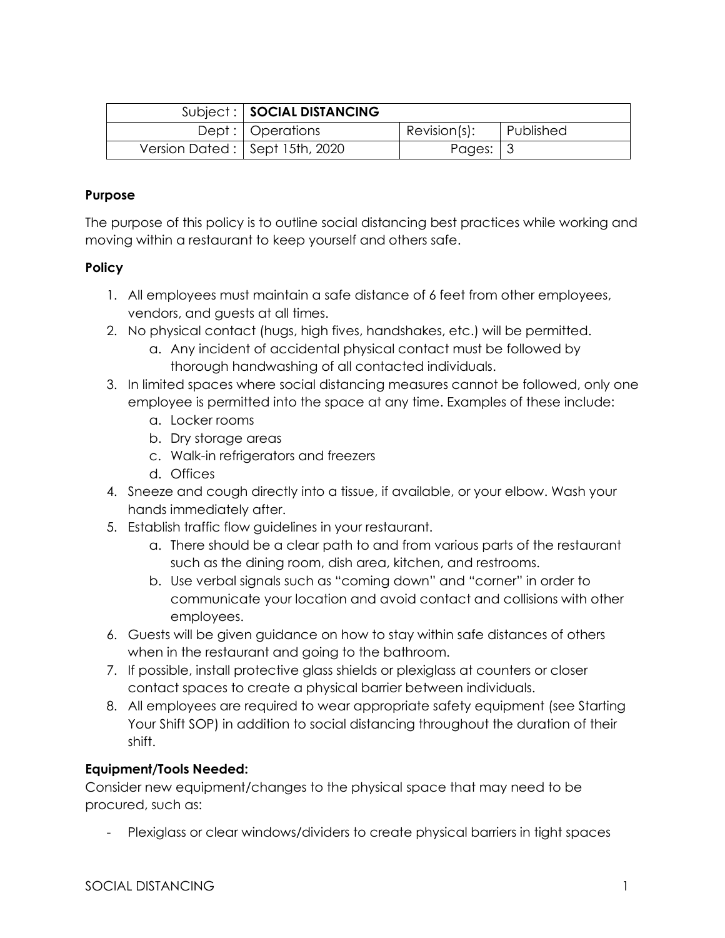| Subject:   SOCIAL DISTANCING   |                        |           |
|--------------------------------|------------------------|-----------|
| Dept :   Operations            | $Revision(s)$ :        | Published |
| Version Dated: Sept 15th, 2020 | Pages: $\vert 3 \vert$ |           |

## **Purpose**

The purpose of this policy is to outline social distancing best practices while working and moving within a restaurant to keep yourself and others safe.

### **Policy**

- 1. All employees must maintain a safe distance of 6 feet from other employees, vendors, and guests at all times.
- 2. No physical contact (hugs, high fives, handshakes, etc.) will be permitted.
	- a. Any incident of accidental physical contact must be followed by thorough handwashing of all contacted individuals.
- 3. In limited spaces where social distancing measures cannot be followed, only one employee is permitted into the space at any time. Examples of these include:
	- a. Locker rooms
	- b. Dry storage areas
	- c. Walk-in refrigerators and freezers
	- d. Offices
- 4. Sneeze and cough directly into a tissue, if available, or your elbow. Wash your hands immediately after.
- 5. Establish traffic flow guidelines in your restaurant.
	- a. There should be a clear path to and from various parts of the restaurant such as the dining room, dish area, kitchen, and restrooms.
	- b. Use verbal signals such as "coming down" and "corner" in order to communicate your location and avoid contact and collisions with other employees.
- 6. Guests will be given guidance on how to stay within safe distances of others when in the restaurant and going to the bathroom.
- 7. If possible, install protective glass shields or plexiglass at counters or closer contact spaces to create a physical barrier between individuals.
- 8. All employees are required to wear appropriate safety equipment (see Starting Your Shift SOP) in addition to social distancing throughout the duration of their shift.

# **Equipment/Tools Needed:**

Consider new equipment/changes to the physical space that may need to be procured, such as:

- Plexiglass or clear windows/dividers to create physical barriers in tight spaces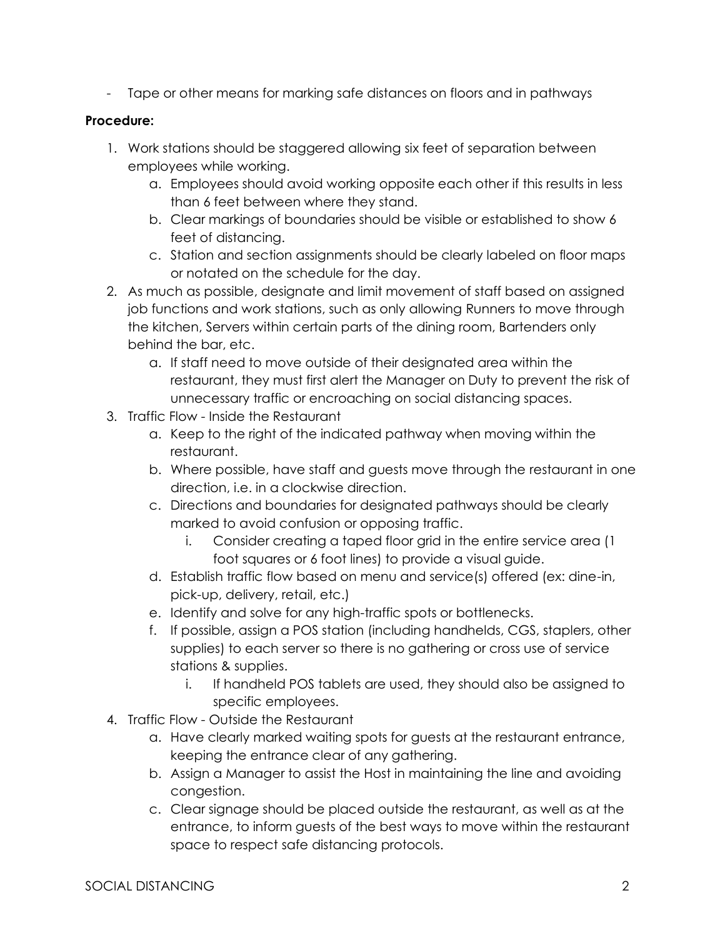- Tape or other means for marking safe distances on floors and in pathways

## **Procedure:**

- 1. Work stations should be staggered allowing six feet of separation between employees while working.
	- a. Employees should avoid working opposite each other if this results in less than 6 feet between where they stand.
	- b. Clear markings of boundaries should be visible or established to show 6 feet of distancing.
	- c. Station and section assignments should be clearly labeled on floor maps or notated on the schedule for the day.
- 2. As much as possible, designate and limit movement of staff based on assigned job functions and work stations, such as only allowing Runners to move through the kitchen, Servers within certain parts of the dining room, Bartenders only behind the bar, etc.
	- a. If staff need to move outside of their designated area within the restaurant, they must first alert the Manager on Duty to prevent the risk of unnecessary traffic or encroaching on social distancing spaces.
- 3. Traffic Flow Inside the Restaurant
	- a. Keep to the right of the indicated pathway when moving within the restaurant.
	- b. Where possible, have staff and guests move through the restaurant in one direction, i.e. in a clockwise direction.
	- c. Directions and boundaries for designated pathways should be clearly marked to avoid confusion or opposing traffic.
		- i. Consider creating a taped floor grid in the entire service area (1 foot squares or 6 foot lines) to provide a visual guide.
	- d. Establish traffic flow based on menu and service(s) offered (ex: dine-in, pick-up, delivery, retail, etc.)
	- e. Identify and solve for any high-traffic spots or bottlenecks.
	- f. If possible, assign a POS station (including handhelds, CGS, staplers, other supplies) to each server so there is no gathering or cross use of service stations & supplies.
		- i. If handheld POS tablets are used, they should also be assigned to specific employees.
- 4. Traffic Flow Outside the Restaurant
	- a. Have clearly marked waiting spots for guests at the restaurant entrance, keeping the entrance clear of any gathering.
	- b. Assign a Manager to assist the Host in maintaining the line and avoiding congestion.
	- c. Clear signage should be placed outside the restaurant, as well as at the entrance, to inform guests of the best ways to move within the restaurant space to respect safe distancing protocols.